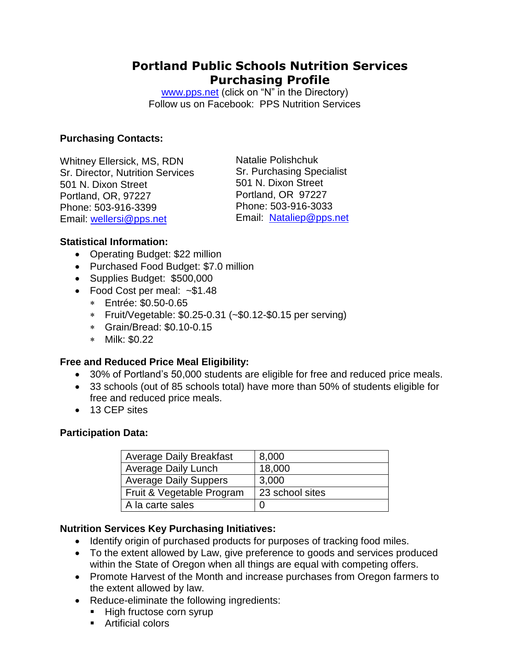# **Portland Public Schools Nutrition Services Purchasing Profile**

[www.pps.net](http://www.pps.net/) (click on "N" in the Directory) Follow us on Facebook: PPS Nutrition Services

### **Purchasing Contacts:**

Whitney Ellersick, MS, RDN Sr. Director, Nutrition Services 501 N. Dixon Street Portland, OR, 97227 Phone: 503-916-3399 Email: [wellersi@pps.net](mailto:wellersi@pps.net)

Natalie Polishchuk Sr. Purchasing Specialist 501 N. Dixon Street Portland, OR 97227 Phone: 503-916-3033 Email: [Nataliep@pps.net](mailto:Nataliep@pps.net)

### **Statistical Information:**

- Operating Budget: \$22 million
- Purchased Food Budget: \$7.0 million
- Supplies Budget: \$500,000
- Food Cost per meal: ~\$1.48
	- Entrée: \$0.50-0.65
	- Fruit/Vegetable: \$0.25-0.31 (~\$0.12-\$0.15 per serving)
	- Grain/Bread: \$0.10-0.15
	- Milk: \$0.22

### **Free and Reduced Price Meal Eligibility:**

- 30% of Portland's 50,000 students are eligible for free and reduced price meals.
- 33 schools (out of 85 schools total) have more than 50% of students eligible for free and reduced price meals.
- 13 CEP sites

#### **Participation Data:**

| <b>Average Daily Breakfast</b> | 8,000           |
|--------------------------------|-----------------|
| <b>Average Daily Lunch</b>     | 18,000          |
| <b>Average Daily Suppers</b>   | 3,000           |
| Fruit & Vegetable Program      | 23 school sites |
| A la carte sales               |                 |

### **Nutrition Services Key Purchasing Initiatives:**

- Identify origin of purchased products for purposes of tracking food miles.
- To the extent allowed by Law, give preference to goods and services produced within the State of Oregon when all things are equal with competing offers.
- Promote Harvest of the Month and increase purchases from Oregon farmers to the extent allowed by law.
- Reduce-eliminate the following ingredients:
	- High fructose corn syrup
	- Artificial colors